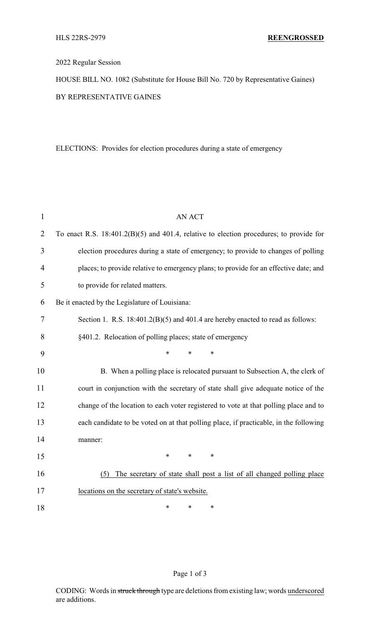## 2022 Regular Session

HOUSE BILL NO. 1082 (Substitute for House Bill No. 720 by Representative Gaines) BY REPRESENTATIVE GAINES

ELECTIONS: Provides for election procedures during a state of emergency

| $\mathbf{1}$   | <b>AN ACT</b>                                                                             |  |  |
|----------------|-------------------------------------------------------------------------------------------|--|--|
| $\overline{2}$ | To enact R.S. $18:401.2(B)(5)$ and 401.4, relative to election procedures; to provide for |  |  |
| 3              | election procedures during a state of emergency; to provide to changes of polling         |  |  |
| $\overline{4}$ | places; to provide relative to emergency plans; to provide for an effective date; and     |  |  |
| 5              | to provide for related matters.                                                           |  |  |
| 6              | Be it enacted by the Legislature of Louisiana:                                            |  |  |
| 7              | Section 1. R.S. $18:401.2(B)(5)$ and $401.4$ are hereby enacted to read as follows:       |  |  |
| 8              | §401.2. Relocation of polling places; state of emergency                                  |  |  |
| 9              | $\ast$<br>*<br>$\ast$                                                                     |  |  |
| 10             | B. When a polling place is relocated pursuant to Subsection A, the clerk of               |  |  |
| 11             | court in conjunction with the secretary of state shall give adequate notice of the        |  |  |
| 12             | change of the location to each voter registered to vote at that polling place and to      |  |  |
| 13             | each candidate to be voted on at that polling place, if practicable, in the following     |  |  |
| 14             | manner:                                                                                   |  |  |
| 15             | $\ast$<br>$\ast$<br>∗                                                                     |  |  |
| 16             | The secretary of state shall post a list of all changed polling place<br>(5)              |  |  |
| 17             | locations on the secretary of state's website.                                            |  |  |
| 18             | *<br>*<br>$\ast$                                                                          |  |  |

## Page 1 of 3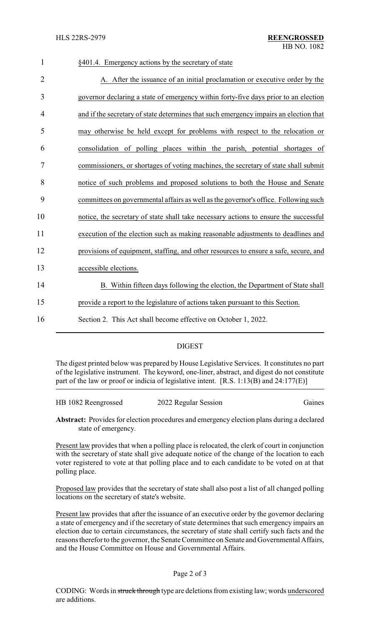# 1 §401.4. Emergency actions by the secretary of state 2 A. After the issuance of an initial proclamation or executive order by the 3 governor declaring a state of emergency within forty-five days prior to an election 4 and if the secretary of state determines that such emergency impairs an election that 5 may otherwise be held except for problems with respect to the relocation or 6 consolidation of polling places within the parish, potential shortages of 7 commissioners, or shortages of voting machines, the secretary of state shall submit 8 notice of such problems and proposed solutions to both the House and Senate 9 committees on governmental affairs as well as the governor's office. Following such 10 notice, the secretary of state shall take necessary actions to ensure the successful 11 execution of the election such as making reasonable adjustments to deadlines and 12 provisions of equipment, staffing, and other resources to ensure a safe, secure, and 13 accessible elections. 14 B. Within fifteen days following the election, the Department of State shall 15 provide a report to the legislature of actions taken pursuant to this Section. 16 Section 2. This Act shall become effective on October 1, 2022.

# DIGEST

The digest printed below was prepared by House Legislative Services. It constitutes no part of the legislative instrument. The keyword, one-liner, abstract, and digest do not constitute part of the law or proof or indicia of legislative intent. [R.S. 1:13(B) and 24:177(E)]

| HB 1082 Reengrossed | 2022 Regular Session | Gaines |
|---------------------|----------------------|--------|
|                     |                      |        |

**Abstract:** Provides for election procedures and emergency election plans during a declared state of emergency.

Present law provides that when a polling place is relocated, the clerk of court in conjunction with the secretary of state shall give adequate notice of the change of the location to each voter registered to vote at that polling place and to each candidate to be voted on at that polling place.

Proposed law provides that the secretary of state shall also post a list of all changed polling locations on the secretary of state's website.

Present law provides that after the issuance of an executive order by the governor declaring a state of emergency and if the secretary of state determines that such emergency impairs an election due to certain circumstances, the secretary of state shall certify such facts and the reasons therefor to the governor, the Senate Committee on Senate and Governmental Affairs, and the House Committee on House and Governmental Affairs.

#### Page 2 of 3